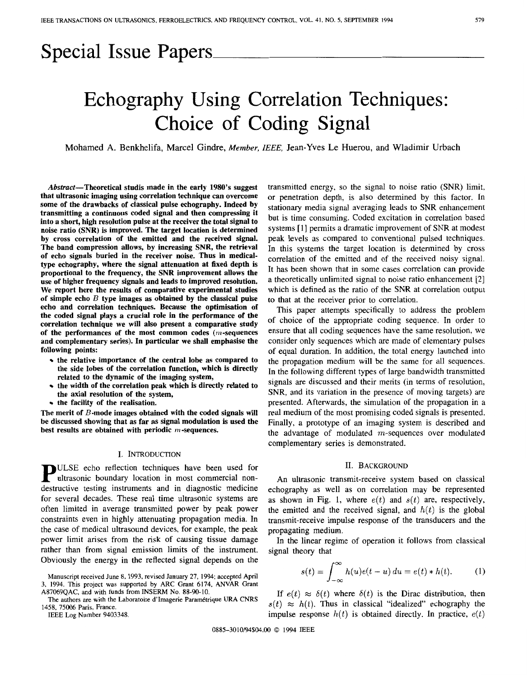## Special Issue Papers

# Echography Using Correlation Techniques: Choice of Coding Signal

Mohamed **A.** Benkhelifa, Marcel Gindre, *Member, IEEE,* Jean-Yves Le Huerou, and Wladimir Urbach

Abstract-Theoretical studis made in the early **1980's** suggest that ultrasonic imaging using correlation technique can overcome some of the drawbacks **of** classical pulse echography. Indeed by transmitting a continuous coded signal and then compressing it into a short, high resolution pulse at the receiver the total signal to noise ratio **(SNR)** is improved. The target location is determined by cross correlation of the emitted and the received signal. The band compression allows, by increasing **SNR,** the retrieval of echo signals buried in the receiver noise. Thus in medicaltype echography, where the signal attenuation at fixed depth is proportional to the frequency, the **SNR** improvement allows the use **of** higher frequency signals and leads to improved resolution. We report here the results of comparative experimental studies of simple echo *B* type images **as** obtained by the classical pulse echo and correlation techniques. Because the optimisation **of**  the coded signal plays a crucial role in the performance of the correlation technique we will also present a comparative study of the performances of the most common codes  $(m$ -sequences and complementary series). In particular we shall emphasise the following points:

- the relative importance of the central lobe as compared to the side lobes of the correlation function, which is directly related to the dynamic **of** the imaging system,
- the width of the correlation peak which is directly related to the axial resolution **of** the system,
- $\cdot$  the facility of the realisation.

The merit of  $B$ -mode images obtained with the coded signals will be discussed showing that as far **as** signal modulation is used the best results are obtained with periodic  $m$ -sequences.

#### I. INTRODUCTION

**P** ULSE echo reflection techniques have been used for ultrasonic boundary location in most commercial nondestructive testing instruments and in diagnostic medicine for several decades. These real time ultrasonic systems are often limited in average transmitted power by peak power constraints even in highly attenuating propagation media. In the case of medical ultrasound devices, for example, the peak power limit arises from the **risk** of causing tissue damage rather than from signal emission limits of the instrument. Obviously the energy in the reflected signal depends on the

IEEE Log Number 9403348.

transmitted energy, so the signal to noise ratio (SNR) limit, or penetration depth, is also determined by this factor. In stationary media signal averaging leads to SNR enhancement but is time consuming. Coded excitation in correlation based systems [l] permits a dramatic improvement of SNR at modest peak levels as compared to conventional pulsed techniques. In this systems the target location is determined by cross correlation of the emitted and of the received noisy signal. It has been shown that in some cases correlation can provide a theoretically unlimited signal to noise ratio enhancement [2] which is defined as the ratio of the SNR at correlation output to that at the receiver prior to correlation.

This paper attempts specifically to address the problem of choice of the appropriate coding sequence. In order to ensure that all coding sequences have the same resolution, we consider only sequences which are made of elementary pulses of equal duration. In addition, the total energy launched into the propagation medium will be the same for all sequences. In the following different types of large bandwidth transmitted signals are discussed and their merits (in terms of resolution, SNR, and its variation in the presence of moving targets) are presented. Afterwards, the simulation of the propagation in a real medium of the most promising coded signals is presented. Finally, a prototype of an imaging system is described and the advantage of modulated  $m$ -sequences over modulated complementary series is demonstrated.

#### 11. BACKGROUND

An ultrasonic transmit-receive system based on classical echography as well as on correlation may be represented as shown in Fig. 1, where  $e(t)$  and  $s(t)$  are, respectively, the emitted and the received signal, and  $h(t)$  is the global transmit-receive impulse response of the transducers and the propagating medium.

In the linear regime of operation it follows from classical signal theory that

$$
s(t) = \int_{-\infty}^{\infty} h(u)e(t-u) du = e(t) * h(t).
$$
 (1)

If  $e(t) \approx \delta(t)$  where  $\delta(t)$  is the Dirac distribution, then  $s(t) \approx h(t)$ . Thus in classical "idealized" echography the impulse response  $h(t)$  is obtained directly. In practice,  $e(t)$ 

0885-3010/94\$04.00 *0* 1994 IEEE

Manuscript received June **8,** 1993, revised January **27,** 1994; accepted April 3, 1994. This project was supported by ARC Grant 6174, ANVAR Grant A87069QAC. and with funds from INSERM No. 88-90-10,

The authors are with the Laboratoire d'Imagerie Paramétrique URA CNRS 1458, 75006 Paris, France.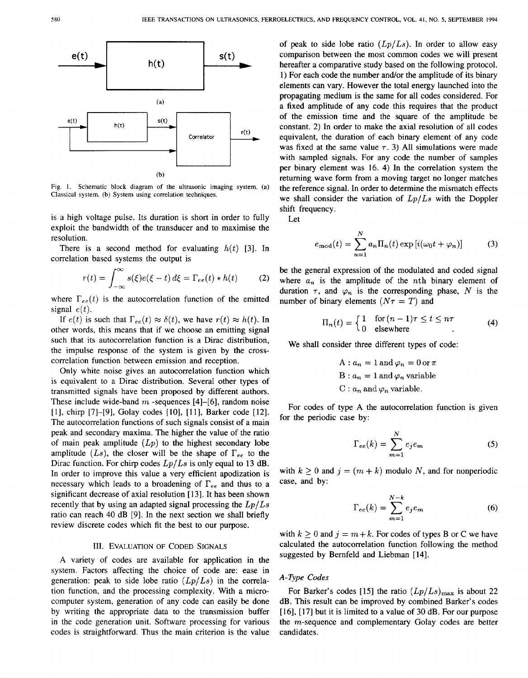

**Fig.** I. **Schematic block diagram of the ultrasonic imaging system. (a) Classical system. (b) System** using **correlation techniques.** 

is a high voltage pulse. Its duration is short in order to fully exploit the bandwidth of the transducer and to maximise the resolution.

There is a second method for evaluating  $h(t)$  [3]. In correlation based systems the output is

$$
r(t) = \int_{-\infty}^{\infty} s(\xi)e(\xi - t) d\xi = \Gamma_{ee}(t) * h(t)
$$
 (2)

where  $\Gamma_{ee}(t)$  is the autocorrelation function of the emitted signal  $e(t)$ .

If  $e(t)$  is such that  $\Gamma_{ee}(t) \approx \delta(t)$ , we have  $r(t) \approx h(t)$ . In other words, this means that if we choose an emitting signal such that its autocorrelation function is a Dirac distribution, the impulse response of the system is given by the crosscorrelation function between emission and reception.

Only white noise gives an autocorrelation function which is equivalent to a Dirac distribution. Several other types of transmitted signals have been proposed by different authors. These include wide-band *m* -sequences **[4]-[6],** random noise [l], chirp *[7]-[9],* Golay codes **[lo], [l l],** Barker code **[12].**  The autocorrelation functions of such signals consist of a main peak and secondary maxima. The higher the value of the ratio of main peak amplitude  $(Lp)$  to the highest secondary lobe amplitude  $(Ls)$ , the closer will be the shape of  $\Gamma_{ee}$  to the Dirac function. For chirp codes *Lp/Ls* is only equal to **13** dB. In order to improve this value a very efficient apodization is necessary which leads to a broadening of  $\Gamma_{ee}$  and thus to a significant decrease of axial resolution **[13].** It has been shown recently that by using an adapted signal processing the *Lp/Ls*  ratio can reach **40** dB **[9].** In the next section we shall briefly review discrete codes which fit the best to our purpose.

#### 111. **EVALUATION OF** CODED **SIGNALS**

**A** variety of codes are available for application in the system. Factors affecting the choice of code are: ease in generation: peak to side lobe ratio *(Lp/Ls)* in the correlation function, and the processing complexity. With a microcomputer system, generation of any code can easily be done by writing the appropriate data to the transmission buffer in the code generation unit. Software processing for various codes is straightforward. Thus the main criterion is the value

of peak to side lobe ratio  $(Lp/Ls)$ . In order to allow easy comparison between the most common codes we will present hereafter a comparative study based on the following protocol. 1) For each code the number and/or the amplitude of its binary elements can vary. However the total energy launched into the propagating medium is the same for all codes considered. For a fixed amplitude of any code this requires that the product of the emission time and the square of the amplitude be constant. **2)** In order to make the axial resolution of all codes equivalent, the duration of each binary element of any code was fixed at the same value  $\tau$ . 3) All simulations were made with sampled signals. For any code the number of samples per binary element was **16. 4)** In the correlation system the returning wave form from a moving target no longer matches the reference signal. In order to determine the mismatch effects we shall consider the variation of *Lp/Ls* with the Doppler shift frequency.

Let

$$
e_{\text{mod}}(t) = \sum_{n=1}^{N} a_n \Pi_n(t) \exp[i(\omega_0 t + \varphi_n)] \tag{3}
$$

be the general expression of the modulated and coded signal where  $a_n$  is the amplitude of the *n*th binary element of duration  $\tau$ , and  $\varphi_n$  is the corresponding phase, N is the number of binary elements  $(N\tau = T)$  and

$$
\Pi_n(t) = \begin{cases} 1 & \text{for } (n-1)\tau \le t \le n\tau \\ 0 & \text{elsewhere} \end{cases} \tag{4}
$$

We shall consider three different types of code:

 $A: a_n = 1$  and  $\varphi_n = 0$  or  $\pi$  $A: a_n = 1$  and  $\varphi_n = 0$  or  $\pi$ <br>B:  $a_n = 1$  and  $\varphi_n$  variable  $B: a_n = 1$  and  $\varphi_n = 0$ <br>  $B: a_n = 1$  and  $\varphi_n$  variable.<br>  $C: a_n$  and  $\varphi_n$  variable.

For codes of type **A** the autocorrelation function is given for the periodic case by:

$$
\Gamma_{ee}(k) = \sum_{m=1}^{N} e_j e_m \tag{5}
$$

with  $k \geq 0$  and  $j = (m + k)$  modulo *N*, and for nonperiodic case, and by:

$$
\Gamma_{ee}(k) = \sum_{m=1}^{N-k} e_j e_m \tag{6}
$$

with  $k \geq 0$  and  $j = m+k$ . For codes of types B or C we have calculated the autocorrelation function following the method suggested by Bernfeld and Liebman **[14].** 

## *A-Type Codes*

For Barker's codes [15] the ratio  $(Lp/Ls)_{\text{max}}$  is about 22 dB. This result can be improved by combined Barker's codes [ **161,** [l71 but it is limited to a value of **30** dB. For our purpose the  $m$ -sequence and complementary Golay codes are better candidates.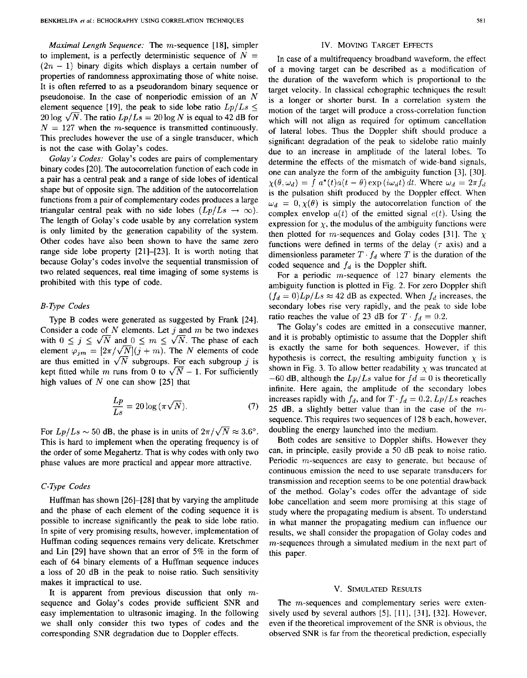*Maximal Length Sequence:* The m-sequence [ **181,** simpler to implement, is a perfectly deterministic sequence of  $N =$  $(2n - 1)$  binary digits which displays a certain number of properties of randomness approximating those of white noise. It is often referred to as a pseudorandom binary sequence or pseudonoise. In the case of nonperiodic emission of an *N*  element sequence [19], the peak to side lobe ratio  $L_p/L_s \leq$  $20 \log \sqrt{N}$ . The ratio  $Lp/Ls = 20 \log N$  is equal to 42 dB for  $N = 127$  when the m-sequence is transmitted continuously. This precludes however the use of a single transducer, which is not the case with Golay's codes.

*Golay's Codes:* Golay's codes are pairs of complementary binary codes **[20].** The autocorrelation function of each code in a pair has a central peak and a range of side lobes of identical shape but of opposite sign. The addition of the autocorrelation functions from a pair of complementary codes produces a large triangular central peak with no side lobes  $(Lp/Ls \rightarrow \infty)$ . The length of Golay's code usable by any correlation system is only limited by the generation capability of the system. Other codes have also been shown to have the same zero range side lobe property **[21]-[23].** It is worth noting that because Golay's codes involve the sequential transmission of two related sequences, real time imaging of some systems is prohibited with this type of code.

## *B-Type Codes*

Type B codes were generated as suggested by Frank **[24].**  Consider a code of *N* elements. Let *j* and m be two indexes with  $0 \le j \le \sqrt{N}$  and  $0 \le m \le \sqrt{N}$ . The phase of each element  $\varphi_{jm} = [2\pi/\sqrt{N}](j+m)$ . The *N* elements of code with  $0 \le j \le \sqrt{N}$  and  $0 \le m \le \sqrt{N}$ . The phase of each element  $\varphi_{jm} = [2\pi/\sqrt{N}](j+m)$ . The *N* elements of code are thus emitted in  $\sqrt{N}$  subgroups. For each subgroup *j* is least fitted while m give from 0 to  $\sqrt{N}$  are thus emitted in  $\sqrt{N}$  subgroups. For each subgroup j is kept fitted while m runs from 0 to  $\sqrt{N}-1$ . For sufficiently high values of *N* one can show [25] that  $\frac{Lp}{Ls} = 20 \log(\pi \sqrt{N}).$ 

$$
\frac{Lp}{Ls} = 20\log\left(\pi\sqrt{N}\right). \tag{7}
$$

For  $L_p/L_s \sim 50$  dB, the phase is in units of  $2\pi/\sqrt{N} \approx 3.6^{\circ}$ . This is hard to implement when the operating frequency is of the order of some Megahertz. That is why codes with only two phase values are more practical and appear more attractive.

## *C-Type Codes*

Huffman has shown **[26]-[28]** that by varying the amplitude and the phase of each element of the coding sequence it is possible to increase significantly the peak to side lobe ratio. In spite of very promising results, however, implementation of Huffman coding sequences remains very delicate. Kretschmer and Lin **[29]** have shown that an error of 5% in the form of each of **64** binary elements of a Huffman sequence induces a loss of **20** dB in the peak to noise ratio. Such sensitivity makes it impractical to use.

It is apparent from previous discussion that only  $m$ sequence and Golay's codes provide sufficient SNR and easy implementation to ultrasonic imaging. In the following we shall only consider this two types of codes and the corresponding SNR degradation due to Doppler effects.

#### IV. MOVING **TARGET EFFECTS**

In case of a multifrequency broadband waveform, the effect of a moving target can be described as a modification of the duration of the waveform which is proportional to the target velocity. In classical echographic techniques the result is a longer **or** shorter burst. In a correlation system the motion of the target will produce a cross-correlation function which will not align as required for optimum cancellation of lateral obes. Thus the Doppler shift should produce a significant degradation of the peak to sidelobe ratio mainly due to an increase in amplitude of the lateral lobes. To determine the effects of the mismatch of wide-band signals, one can analyze the form of the ambiguity function **[3],** [30].  $\chi(\theta, \omega_d) = \int a^*(t) a(t - \theta) \exp(i\omega_d t) dt$ . Where  $\omega_d = 2\pi f_d$ is the pulsation shift produced by the Doppler effect. When  $\omega_d = 0, \chi(\theta)$  is simply the autocorrelation function of the complex envelop  $a(t)$  of the emitted signal  $e(t)$ . Using the expression for  $\chi$ , the modulus of the ambiguity functions were then plotted for  $m$ -sequences and Golay codes [31]. The  $\chi$ functions were defined in terms of the delay  $(\tau \text{ axis})$  and a dimensionless parameter  $T \cdot f_d$  where *T* is the duration of the coded sequence and  $f_d$  is the Doppler shift.

For a periodic  $m$ -sequence of 127 binary elements the ambiguity function is plotted in [Fig.](#page--1-0) **2.** For zero Doppler shift  $(f_d = 0)Lp/Ls \approx 42$  dB as expected. When  $f_d$  increases, the secondary lobes rise very rapidly, and the peak to side lobe ratio reaches the value of 23 dB for  $T \cdot f_d = 0.2$ .

The Golay's codes are emitted in a consecutive manner, and it is probably optimistic to assume that the Doppler shift is exactly the same for both sequences. However, if this hypothesis is correct, the resulting ambiguity function  $\chi$  is shown in [Fig.](#page--1-0) 3. To allow better readability  $\chi$  was truncated at  $-60$  dB, although the  $Lp/Ls$  value for  $fd = 0$  is theoretically infinite. Here again, the amplitude of the secondary lobes increases rapidly with  $f_d$ , and for  $T \cdot f_d = 0.2$ ,  $Lp/Ls$  reaches **25** dB, a slightly better value than in the case of the *m*sequence. This requires two sequences of**128** b each, however, doubling the energy launched into the medium.

Both codes are sensitive to Doppler shifts. However they can, in principle, easily provide a 50 dB peak to noise ratio. Periodic m-sequences are easy to generate, but because of continuous emission the need to use separate transducers for transmission and reception seems to be one potential drawback of the method. Golay's codes offer the advantage of side lobe cancellation and seem more promising at this stage of study where the propagating medium is absent. To understand in what manner the propagating medium can influence our results, we shall consider the propagation of Golay codes and m-sequences through a simulated medium in the next part of this paper.

### V. **SIMULATED RESULTS**

The *m*-sequences and complementary series were extensively used by several authors *[5],* [ **1 l], [3 I], [32].** However, even if the theoretical improvement of the SNR is obvious, the observed **SNR** is far from the theoretical prediction, especially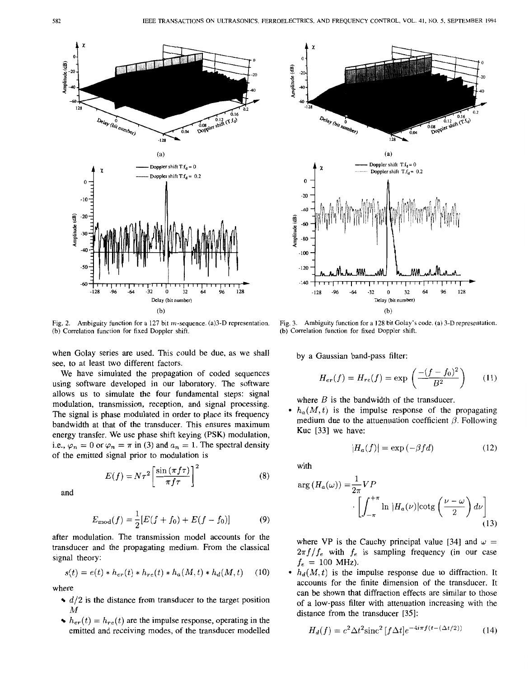

[Fig.](#page--1-0) 2. Ambiguity function for a 127 bit  $m$ -sequence. (a) 3-D representation. (b) Correlation function for **fixed** Doppler shift.

when Golay series are used. This could be due, as we shall see, to at least two different factors.

We have simulated the propagation of coded sequences using software developed in our laboratory. The software allows us to simulate the four fundamental steps: signal modulation, transmission, reception, and signal processing. The signal is phase modulated in order to place its frequency bandwidth at that of the transducer. This ensures maximum energy transfer. We use phase shift keying **(PSK)** modulation, i.e.,  $\varphi_n = 0$  or  $\varphi_n = \pi$  in (3) and  $a_n = 1$ . The spectral density of the emitted signal prior to modulation is

> $E(f) = N\tau^2 \left[ \frac{\sin \left( \pi f \tau \right)}{\pi f \tau} \right]^2$  $(8)$

and

$$
E_{\text{mod}}(f) = \frac{1}{2} [E(f + f_0) + E(f - f_0)] \tag{9}
$$

after modulation. The transmission model accounts for the transducer and the propagating medium. From the classical signal theory:

$$
s(t) = e(t) * h_{er}(t) * h_{re}(t) * h_a(M, t) * h_d(M, t)
$$
 (10)

where

- $d/2$  is the distance from transducer to the target position *M*
- $h_{er}(t) = h_{re}(t)$  are the impulse response, operating in the emitted and receiving modes, of the transducer modelled



[Fig. 3.](#page--1-0) Ambiguity function for a 128 bit Golay's code. (a) 3-D representation. (b) Correlation function for **fixed** Doppler shift.

by a Gaussian band-pass filter:

$$
H_{er}(f) = H_{re}(f) = \exp\left(\frac{-(f - f_0)^2}{B^2}\right) \tag{11}
$$

where *B* is the bandwidth of the transducer.

•  $h_a(M, t)$  is the impulse response of the propagating medium due to the attuenuation coefficient  $\beta$ . Following Kuc [33] we have:

$$
|H_a(f)| = \exp(-\beta f d) \tag{12}
$$

with

$$
\arg(H_a(\omega)) = \frac{1}{2\pi} VP
$$

$$
\left[ \int_{-\pi}^{+\pi} \ln |H_a(\nu)| \cot \left( \frac{\nu - \omega}{2} \right) d\nu \right]
$$
(13)

where VP is the Cauchy principal value [34] and  $\omega =$  $2\pi f/f_e$  with  $f_e$  is sampling frequency (in our case  $f_e = 100$  MHz).

•  $h_d(M, t)$  is the impulse response due to diffraction. It accounts for the finite dimension of the transducer. It can be shown that diffraction effects are similar to those of a low-pass filter with attenuation increasing with the distance from the transducer *[35]:* 

$$
H_d(f) = c^2 \Delta t^2 \text{sinc}^2 \left[ f \Delta t \right] e^{-4i\pi f (t - (\Delta t/2))} \tag{14}
$$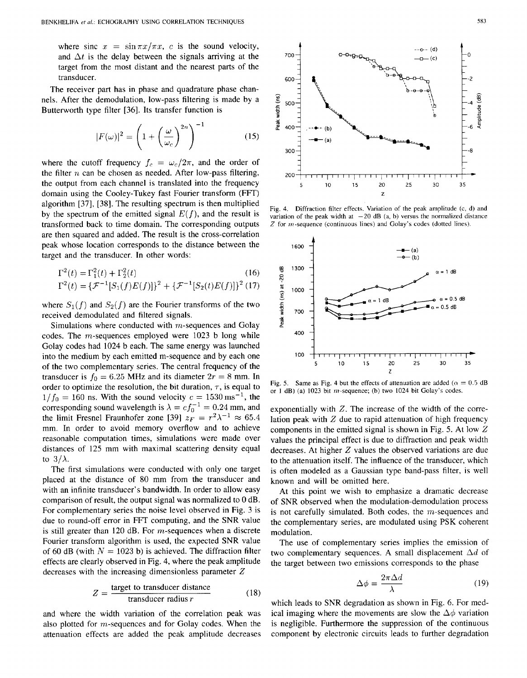where sinc  $x = \sin \pi x / \pi x$ , *c* is the sound velocity, and  $\Delta t$  is the delay between the signals arriving at the target from the most distant and the nearest parts of the transducer.

The receiver part has in phase and quadrature phase channels. After the demodulation, low-pass filtering is made by a Butterworth type filter [36]. Its transfer function is

$$
|F(\omega)|^2 = \left(1 + \left(\frac{\omega}{\omega_c}\right)^{2n}\right)^{-1} \tag{15}
$$

where the cutoff frequency  $f_c = \omega_c/2\pi$ , and the order of the filter  $n$  can be chosen as needed. After low-pass filtering, the output from each channel is translated into the frequency domain using the Cooley-Tukey fast Fourier transform (FFT) algorithm [37], [38]. The resulting spectrum is then multiplied by the spectrum of the emitted signal  $E(f)$ , and the result is transformed back to time domain. The corresponding outputs are then squared and added. The result is the cross-correlation peak whose location corresponds to the distance between the target and the transducer. In other words:

$$
\Gamma^{2}(t) = \Gamma_{1}^{2}(t) + \Gamma_{2}^{2}(t)
$$
\n
$$
\Gamma^{2}(t) = \{\mathcal{F}^{-1}[S_{1}(f)E(f)]\}^{2} + \{\mathcal{F}^{-1}[S_{2}(t)E(f)]\}^{2} \tag{17}
$$

where  $S_1(f)$  and  $S_2(f)$  are the Fourier transforms of the two received demodulated and filtered signals.

Simulations where conducted with  $m$ -sequences and Golay codes. The  $m$ -sequences employed were 1023 b long while Golay codes had 1024 b each. The same energy was launched into the medium by each emitted m-sequence and by each one of the two complementary series. The central frequency of the transducer is  $f_0 = 6.25$  MHz and its diameter  $2r = 8$  mm. In order to optimize the resolution, the bit duration,  $\tau$ , is equal to  $1/f_0 = 160$  ns. With the sound velocity  $c = 1530 \text{ ms}^{-1}$ , the corresponding sound wavelength is  $\lambda = c f_0^{-1} = 0.24$  mm, and the limit Fresnel Fraunhofer zone [39]  $z_F = r^2 \lambda^{-1} \approx 65.4$ mm. In order to avoid memory overflow and to achieve reasonable computation times, simulations were made over distances of 125 mm with maximal scattering density equal to  $3/\lambda$ .

The first simulations were conducted with only one target placed at the distance of 80 mm from the transducer and with an infinite transducer's bandwidth. In order to allow easy comparison of result, the output signal was normalized to 0 dB. For complementary series the noise level observed in [Fig. 3](#page--1-0) is due to round-off error in FFT computing, and the **SNR** value is still greater than 120 dB. For  $m$ -sequences when a discrete Fourier transform algorithm is used, the expected **SNR** value of 60 dB (with  $N = 1023$  b) is achieved. The diffraction filter effects are clearly observed in Fig. 4, where the peak amplitude decreases with the increasing dimensionless parameter *Z* 

$$
Z = \frac{\text{target to transducer distance}}{\text{transducer radius } r}
$$
 (18)

and where the width variation of the correlation peak was also plotted for m-sequences and for Golay codes. When the attenuation effects are added the peak amplitude decreases



[Fig.](#page--1-0) **4.** Diffraction filter effects. Variation of the peak amplitude (c. d) and variation of the peak width at  $-20$  dB (a, b) versus the normalized distance *Z* for m-sequence (continuous lines) and Golay's codes (dotted lines).



[Fig.](#page--1-0) 5. Same as Fig. 4 but the effects of attenuation are added  $(\alpha = 0.5 \text{ dB})$ or **1** dB) (a) 1023 bit m-sequence; (b) two 1024 bit Golay's codes.

exponentially with *Z.* The increase of the width of the correlation peak with *Z* due to rapid attenuation of high frequency components in the emitted signal is shown in Fig. *5.* At low *Z*  values the principal effect is due to diffraction and peak width decreases. At higher *Z* values the observed variations are due to the attenuation itself. The influence of the transducer, which is often modeled as a Gaussian type band-pass filter, is well known and will be omitted here.

At this point we wish to emphasize a dramatic decrease of SNR observed when the modulation-demodulation process is not carefully simulated. Both codes, the m-sequences and the complementary series, are modulated using PSK coherent modulation.

The use of complementary series implies the emission of two complementary sequences. A small displacement  $\Delta d$  of the target between two emissions corresponds to the phase entary series implies<br>
uences. A small dis-<br>
emissions correspond<br>  $\Delta \phi = \frac{2\pi \Delta d}{\lambda}$ 

$$
\Delta \phi = \frac{2\pi \Delta d}{\lambda} \tag{19}
$$

which leads to SNR degradation as shown in [Fig. 6.](#page--1-0) For medical imaging where the movements are slow the  $\Delta\phi$  variation is negligible. Furthermore the suppression of the continuous component by electronic circuits leads to further degradation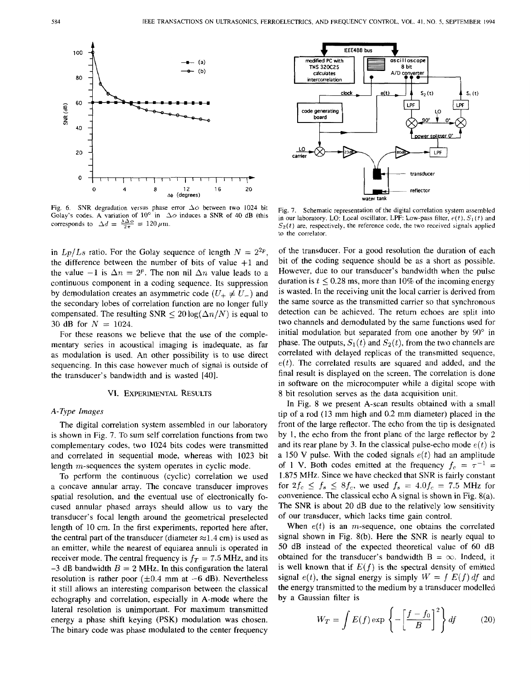



Fig. 7. Schematic representation of the digital correlation system assembled in our laboratory. LO: Local oscillator, LPF: Low-pass filter,  $e(t)$ ,  $S_1(t)$  and  $S_2(t)$  are, respectively, the reference code, the two received signals applied to the correlator.

in  $Lp/Ls$  ratio. For the Golay sequence of length  $N = 2^{2p}$ , the difference between the number of bits of value  $+1$  and the value  $-1$  is  $\Delta n = 2^p$ . The non nil  $\Delta n$  value leads to a continuous component in a coding sequence. Its suppression by demodulation creates an asymmetric code  $(U_{+} \neq U_{-})$  and the secondary lobes of correlation function are no longer fully compensated. The resulting SNR  $\leq 20 \log(\Delta n/N)$  is equal to 30 dB for  $N = 1024$ .

For these reasons we believe that the use of the complementary series in acoustical imaging is inadequate, as far as modulation is used. An other possibility is to use direct sequencing. In this case however much of signal is outside of the transducer's bandwidth and is wasted [40].

#### **VI.** EXPERIMENTAL **RESULTS**

#### **A-** *Type Images*

The digital correlation system assembled in our laboratory is shown in Fig. 7. To sum self correlation functions from two complementary codes, two 1024 bits codes were transmitted and correlated in sequential mode, whereas with 1023 bit length m-sequences the system operates in cyclic mode.

To perform the continuous (cyclic) correlation we used a concave annular array. The concave transducer improves spatial resolution, and the eventual use of electronically focused annular phased arrays should allow us to vary the transducer's focal length around the geometrical preselected length of 10 cm. In the first experiments, reported here after, the central part of the transducer (diameter  $\approx$  1.4 cm) is used as an emitter, while the nearest of equiarea annuli is operated in receiver mode. The central frequency is  $f_T = 7.5$  MHz, and its  $-3$  dB bandwidth  $B = 2$  MHz. In this configuration the lateral resolution is rather poor  $(\pm 0.4 \text{ mm at } -6 \text{ dB})$ . Nevertheless it still allows an interesting comparison between the classical echography and correlation, especially in A-mode where the lateral resolution is unimportant. For maximum transmitted energy a phase shift keying (PSK) modulation was chosen. The binary code was phase modulated to the center frequency

of the transducer. For a good resolution the duration of each bit of the coding sequence should be as a short as possible. However, due to our transducer's bandwidth when the pulse duration is  $t \le 0.28$  ms, more than 10% of the incoming energy is wasted. In the receiving unit the local carrier is derived from the same source as the transmitted carrier so that synchronous detection can be achieved. The return echoes are split into two channels and demodulated by the same functions used for initial modulation but separated from one another by  $90^\circ$  in phase. The outputs,  $S_1(t)$  and  $S_2(t)$ , from the two channels are correlated with delayed replicas of the transmitted sequence,  $e(t)$ . The correlated results are squared and added, and the final result is displayed on the screen. The correlation is done in software on the microcomputer while a digital scope with 8 bit resolution serves as the data acquisition unit.

In [Fig. 8](#page--1-0) we present A-scan results obtained with a small tip of a rod (13 mm high and 0.2 mm diameter) placed in the front of the large reflector. The echo from the tip is designated by 1, the echo from the front plane of the large reflector by 2 and its rear plane by 3. In the classical pulse-echo mode  $e(t)$  is a 150 **V** pulse. With the coded signals *e(t)* had an amplitude of 1 V. Both codes emitted at the frequency  $f_c = \tau^{-1}$ 1.875 **MHz.** Since we have checked that SNR is fairly constant for  $2f_c \leq f_s \leq 8f_c$ , we used  $f_s = 4.0f_c = 7.5$  MHz for convenience. The classical echo **A** signal is shown in Fig. 8(a). The **SNR** is about 20 dB due to the relatively low sensitivity of our transducer, which lacks time gain control.

When  $e(t)$  is an *m*-sequence, one obtains the correlated signal shown in Fig. 8(b). Here the SNR is nearly equal to 50 dB instead of the expected theoretical value of 60 dB obtained for the transducer's bandwidth  $B = \infty$ . Indeed, it is well known that if  $E(f)$  is the spectral density of emitted signal  $e(t)$ , the signal energy is simply  $W = \int E(f) df$  and the energy transmitted to the medium by a transducer modelled by a Gaussian filter is

$$
W_T = \int E(f) \exp\left\{-\left[\frac{f - f_0}{B}\right]^2\right\} df \qquad (20)
$$

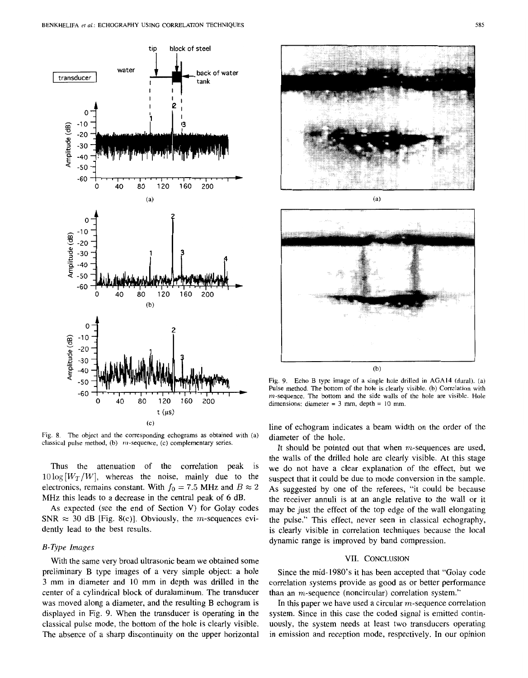

[Fig.](#page--1-0) 8. The object and the corresponding echograms as obtained with (a) classical **pulse** method, **(b)** m-sequence, (c) complementary series.

Thus the attenuation of the correlation peak is  $10\log\left[\frac{W_T}{W}\right]$ , whereas the noise, mainly due to the electronics, remains constant. With  $f_0 = 7.5$  MHz and  $B \approx 2$ MHz this leads to a decrease in the central peak of 6 dB.

As expected (see the end of Section V) for Golay codes SNR  $\approx$  30 dB [Fig. 8(c)]. Obviously, the *m*-sequences evidently lead to the best results.

#### *B-Type Images*

With the same very broad ultrasonic beam we obtained some preliminary B type images of a very simple object: a hole 3 mm in diameter and **10** mm in depth was drilled in the center of a cylindrical block of duraluminum. The transducer was moved along a diameter, and the resulting B echogram is displayed in [Fig.](#page--1-0) **9.** When the transducer is operating in the classical pulse mode, the bottom of the hole is clearly visible. The absence of a sharp discontinuity on the upper horizontal in emission and reception mode, respectively. In our opinion



(b)

 $\overline{\phantom{a}}$ 

[Fig.](#page--1-0) 9. Echo B type image of **a** single hole drilled in **AGA14** (dural). (a) **Pulse** method. The bottom of the hole is clearly visible. (b) Correlation with  $m$ -sequence. The bottom and the side walls of the hole are visible. Hole dimensions: diameter = **3** mm, depth = IO mm.

line of echogram indicates a beam width on the order of the diameter of the hole.

It should be pointed out that when m-sequences are used, the walls of the drilled hole are clearly visible. At this stage we do not have a clear explanation of the effect, but we suspect that it could be due to mode conversion in the sample. As suggested by one of the referees, "it could be because the receiver annuli is at an angle relative to the wall **or** it may be just the effect of the top edge of the wall elongating the pulse." This effect, never seen in classical echography, is clearly visible in correlation techniques because the local dynamic range is improved by band compression.

#### VII. CONCLUSION

Since the mid- **1980's** it has been accepted that "Golay code correlation systems provide as good as or better performance than an m-sequence (noncircular) correlation system."

In this paper we have used a circular  $m$ -sequence correlation system. Since in this case the coded signal is emitted continuously, the system needs at least two transducers operating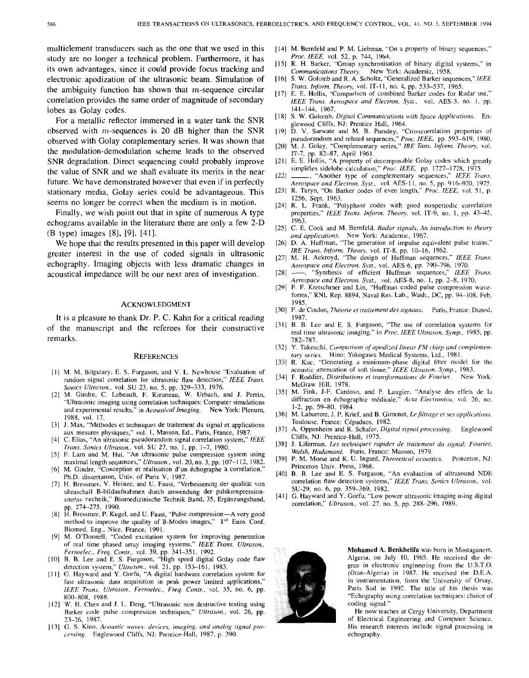multielement transducers such as the one that we used in this [14] M. Bernfeld and P. M. Liebman, "On a property of binary sequences,"<br>study are no longer a technical problem. Furthermore, it has *Proc. IEEE*, vol. 52, p. study are no longer a technical problem. Furthermore, it has *Proc. IEEE*, vol. 52, [p. 744,](#page--1-0) 1964.<br>[15] R. H. Barker, "Group synchronisation of binary digital systems," in its own advantages, since it could provide focus tracking and  $\sum_{\text{Common} \text{ minimum} \text{ theory}}$   $\sum_{\text{Common} \text{ column} \text{ memory}}$  New York: Academic, 1958.<br>electronic apodization of the ultrasonic beam. Simulation of [16] S. W. Golomb and R. A. Sc electronic apodization of the ultrasonic beam. Simulation of correlation provides the same order of magnitude of secondary *IEEE Trans. Aerosouce and Electron.* Sysf., vol. AES-3, no. **1.** pp. *Trans. Inform. Theory, vol.* IT-11, no. 4, pp. 533-537, 1965.<br>the ambiguity function has shown that m-sequence circular [17] E. E. Hollis, "Comparison of combined Barker codes for Radar use." lobes as Golay codes.

For a metallic reflector immersed in a water tank the SNR observed with  $m$ -sequences is 20 dB higher than the SNR observed with Golay complementary series. It was shown that the modulation-demodulation scheme leads to the observed SNR degradation. Direct sequencing could probably improve the value of SNR and we shall evaluate its merits in the near future. We have demonstrated however that even if in perfectly stationary media, Golay series could be advantageous. This seems no longer be correct when the medium is in motion.

Finally, we wish point out that in spite of numerous A type echograms available in the literature there are only a few 2-D (B type) images [8], [9], [41].

We hope that the results presented in this paper will develop greater interest in the use of coded signals in ultrasonic echography. Imaging objects with less dramatic changes in acoustical impedance will be our next area of investigation.

#### ACKNOWLEDGMENT

It is a pleasure to thank **Dr. P.** *C.* Kahn for a critical reading of the manuscript and the referees for their constructive remarks.

#### **REFERENCES**

- [I] M. M. Bilgutary. E. **S.** Furgason, and V. L. Newhouse "Evaluation of random signal correlation for ultrasonic flaw detection," *IEEE Trans. Sonics Ulr&on.,* vol. SU 23, no. *5,* pp. 329-333, 1976.
- **M.** Gindre, C. Lebeault, **F.** Rieuneau, W. Urbach, and J. Perrin, "Ultrasonic imaging using correlation techniques: Computer simulations and experimental results," in *Acoustical Imaging.* New York: Plenum, 1988. vol. 17.
- [3] J. Max, "Méthodes et techniques de traitement du signal et applications aux mesures physiques," vol. I, Masson, Ed., Paris, France, 1987.
- $[4]$ C. Elias, "An ultrasonic pseudorandom signal correlation system," *IEEE Trans. Sonics Ulfrason.,* vol. SU 27, no. 1, pp. 1-7, 1980.
- [5] F. Lam and M. Hui, "An ultrasonic pulse compression system using maximal length sequences," *Ulfrason.,* vol. 20, no. 3, pp. 107-1 12, 1982.
- [6] M. Gindre, "Conception et réalisation d'un échographe à corrélation, Ph.D. dissertation, Univ. of Paris V, 1987.
- [7] H. Bressmer, V. Heinze, and U. Faust, "Verbesserung der qualität von ultraschall B-bildaufnahmen durch anwendung der pulskompressionsme\ss  $\tau$ echnik," Biomedizinische Technik Band, 35, Ergänzungsband, p. 274-275, 1990.
- [8] H. Bressmer, P. Kugel, and U. Faust, "Pulse compression-A very good method to improve the quality of B-Modes images,'' **1"'** Euro. Conf. Biomed. Eng., Nice, France, 1991.
- M. O'Donnell, "Coded excitation system for improving penetration of real time phased array imaging systems," *IEEE Trans. Ultrason., Ferroelec., Freq. Confr.,* vol. 39, pp. 341-351. 1992.
- B. B. Lee and E. **S.** Furgason, "High speed digital Golay code flaw detection system," *C'lrrason.,* vol. 21, pp. 153-161, 1983.
- [11] G. Hayward and Y. Gorfu, "A digital hardware correlation system for fast ultrasonic data acquisition in peak power limited applications," *IEEE Trc1n.s. Ultrason., Ferroeiec., Freq. Contr.,* vol. *35,* no. *6,* pp. 800-808, 1988.
- W. H. Chen and **J.** L. Deng, "Ultrasonic non destructive testing using Barker code pulse compression techniques," *Ultrason.,* vol. 26, pp. 23-26, 1987.
- G. S. Kino, *Acousfic u'uves; devices, imaging, and analog signal pro*cessing. Englewood Cliffs, NJ: Prentice-Hall, 1987, p. 390.
- 
- **New York: Academic, 1958.**
- 
- 141-144, 1967.
- [18] S. W. Golomb, *Digital Communications with Space Applications*. Englewood Cliffs, NJ: Prentice Hall, 1964.
- [19] D. V. Sarwate and M. B. Pursdey, "Crosscorrelation properties of [pseudorandom and related sequences,"](#page--1-0) *Proc. IEEE,* pp. **593-619,** 1980.
- [20] **M.** J. Golay. "Complementary series," *IRE Tans. Inform. Theon,* vol. IT-7. pp. 82-87, April 1961.
- [21] E. E. Hollis, "A property of decomposable Golay codes which greatly simplifies sidelobe calculation," Proc. IEEE, pp. 1727-1728, 1975.
- [22]  $\_\_$ , "Another type of complementary sequences," *IEEE Trans. Aerospace und Electron. Syst..* vol. AES-I 1. no. *5,* pp. 916-920, 1975.
- [23] R. Turyn, "On Barker codes of even length," *Proc. IEEE,* vol. 51, p. 1256, Sept. 1963.
- [24] R. L. Frank, "Polyphase codes with good nonperiodic orrelation properties," *IEEE Trans. Inform. Theory*, vol. IT-9, no. 1, pp. 43-45, 1963.
- [25] C. E. Cook and M. Bernfeld. *Radur signals, An introducrion* **to** *theory and applications.* New York: Academic, 1967.
- [26] D. A. Huffman, "The generation of impulse equivalent pulse trains," *IRE Trans. Inform. Theory,* vol. IT-8, pp, 10-16, 1962.
- [27] M. H. Ackroyd, "The design of Huffman sequences." *IEEE Truns. Aerospace and Electron. Syst., vol. AES-6, pp. 790–796, 1970.*<br>——... "Synthesis of efficient Huffman sequences." *IEEE Trans.*
- [28] -, "Synthesis of efficient Huffman sequences," *Aerospace and Electron. Sysf.,* vol. AES-8, no. 1, pp. 2-8, 1970.
- [29] F. F. Kretschmer and Lin, "Huffman coded pulse compression waveforms," RNL Rep. 8894, Naval Res. Lab., Wash., DC, pp. 94-108, Feb. 1985.
- [30] F. de Coulon, *Théorie et traitement des signaux.* Paris, France: Dunod, 1987.
- [31] B. B. Lee and E. S. Furgason, "The use of correlation systems for real time ultrasonic imaging," in *Proc. IEEE Ulfruson. Symp..* 1985, pp. [782-787.](#page--1-0)
- [32] Y. Takeuchi. *Compurison of upodized linear FM chirp and compiemen*  tary series. Hino: Yokogawa Medical Systems, Ltd., 1981.
- R. Kuc, "Generating a minimum-phase digital filter model for the acoustic attenuation of soft tissue," *IEEE Ultrason. Symp.,* 1983.
- [34] F. Roddier, *Distributions et transformations de Fourier*. McGraw Hill, 1978.
- M. Fink, J-F. Cardoso, and P. Laugier, "Analyse des effets de la diffraction en échographie médicale," *Acta Electronica*, vol. 26, no. 1-2, pp. 59-80. 1984.
- [36] M. Labarrere, J. P. Krief, and B. Gimonet, *Le filtrage et ses applications.* Toulouse, France: Cépadues, 1982.
- A. Oppenheim and R. Schafer, *Digital signal processing.* Englewood  $1371$ Cliffs, **NJ:** Prentice-Hall, 1975.
- **J.** Liferman, *Les techniques rapides de traifement cfu signal; Fourier, Walsh, Hadamard.* Paris, France: Masson, 1979.
- $[39]$ P. M. Morse and **K. U.** Ingard, *Theorerical ucoustics.* Princeton, NJ:
- Princeton Univ. Press, 1968. B. B. Lee and E. S. Furgason, "An evaluation of ultrasound NDE correlation flaw detection systems," IEEE Trans. Sonics Ultrason., vol. SU-29. no. 6, pp. 359-369. 1982.
- $[41]$ *G.* Hayward and Y. Gorfu. "Low power ultrasonic imaging using digital correlation," *Ulrrason.,* vol. 27. no. *5,* pp. 288-296, 1989.



**Mohamed A. Benkhelifa** was born in Mostaganem, Algeria, on July 10, 1965. He received the degree in electronic engineering from the U.S.T.O. (Oran-Algeria) in 1987. He received the D.E.A. in instrumentation, from the University of Orsay, Paris Sud in 1992. The title of his thesis was "Echography using correlation techniques: choice of coding signal."

He now teaches at Cergy University, Department of Electrical Engineering and Computer Sciencc. His research interests include signal processing in